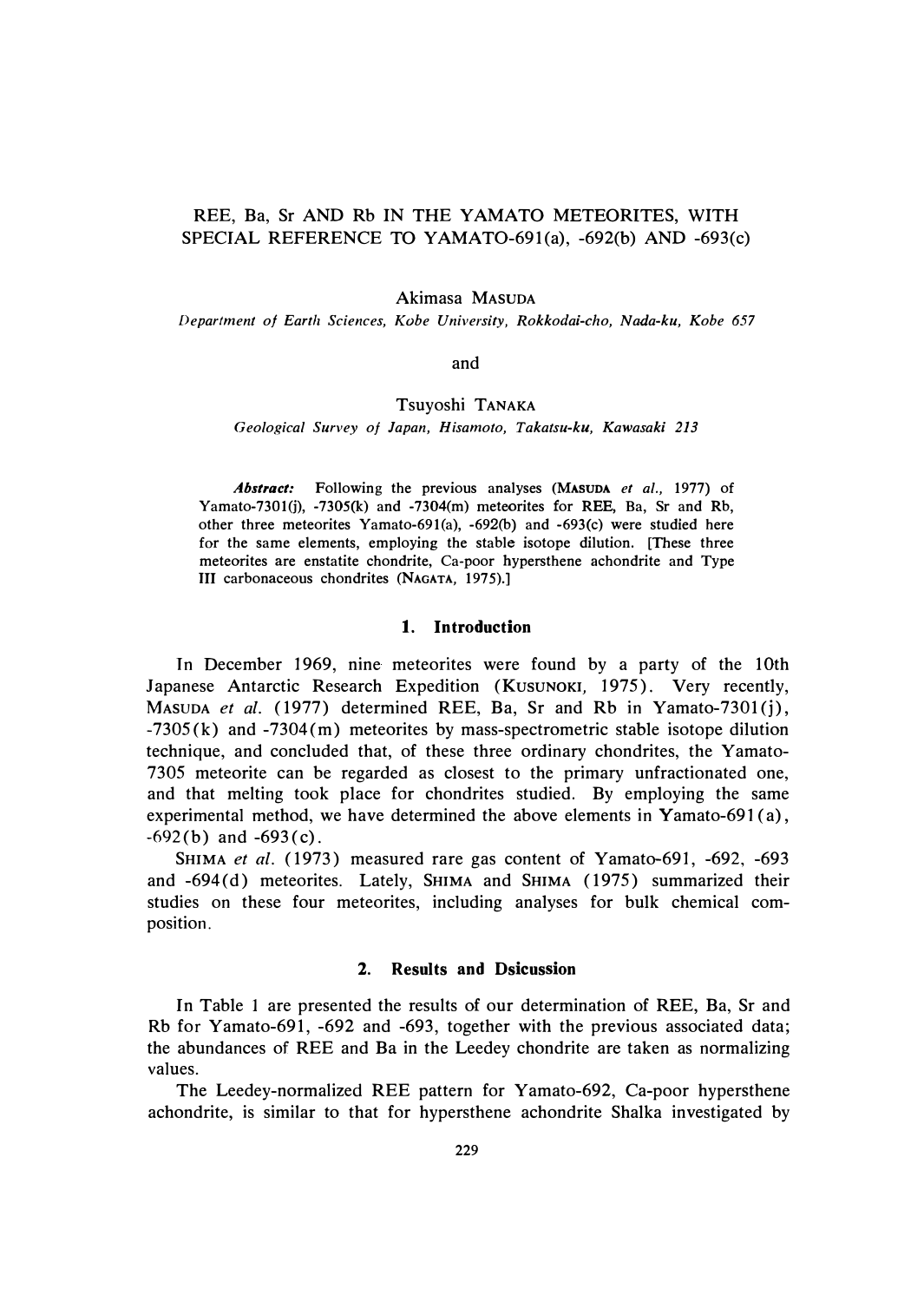# REE, Ba, Sr AND Rb IN THE YAMATO METEORITES, WITH SPECIAL REFERENCE TO YAMAT0-691(a), -692(b) AND -693(c)

Akimasa MASUDA

*Department of Earth Sciences, Kobe University, Rokkodai-cho, Nada-ku, Kobe 657* 

and

## Tsuyoshi TANAKA

*Geological Survey of Japan, Hisamoto, Takatsu-ku, Kawasaki 213* 

*Abstract:* **Following the previous analyses (MASUDA** *et al.,* **1977) of Yamato-7301(j), -7305(k) and -7304(m) meteorites for REE, Ba, Sr and Rb, other three meteorites Yamato-691(a), -692(b) and -693(c) were studied here for the same elements, employing the stable isotope dilution. [These three meteorites are enstatite chondrite, Ca-poor hypersthene achondrite and Type III carbonaceous chondrites (NAGATA, 1975).]** 

### **1. Introduction**

In December 1969, nine meteorites were found by a party of the 10th Japanese Antarctic Research Expedition (KUSUNOKI, 1975). Very recently, MASUDA *et al.* (1977) determined REE, Ba, Sr and Rb in Yamato-7301(j), -7305 (k) and -7304(m) meteorites by mass-spectrometric stable isotope dilution technique, and concluded that, of these three ordinary chondrites, the Yamato-7305 meteorite can be regarded as closest to the primary unfractionated one, and that melting took place for chondrites studied. By employing the same experimental method, we have determined the above elements in Yamato-691 (a),  $-692(b)$  and  $-693(c)$ .

SHIMA et al. (1973) measured rare gas content of Yamato-691, -692, -693 and -694(d) meteorites. Lately, SHIMA and SHIMA (1975) summarized their studies on these four meteorites, including analyses for bulk chemical composition.

### **2. Results and Dsicussion**

In Table *1* are presented the results of our determination of REE, Ba, Sr and Rb for Yamato-691, -692 and -693, together with the previous associated data; the abundances of REE and Ba in the Leedey chondrite are taken as normalizing values.

The Leedey-normalized REE pattern for Y amato-692, Ca-poor hypersthene achondrite, is similar to that for hypersthene achondrite Shalka investigated by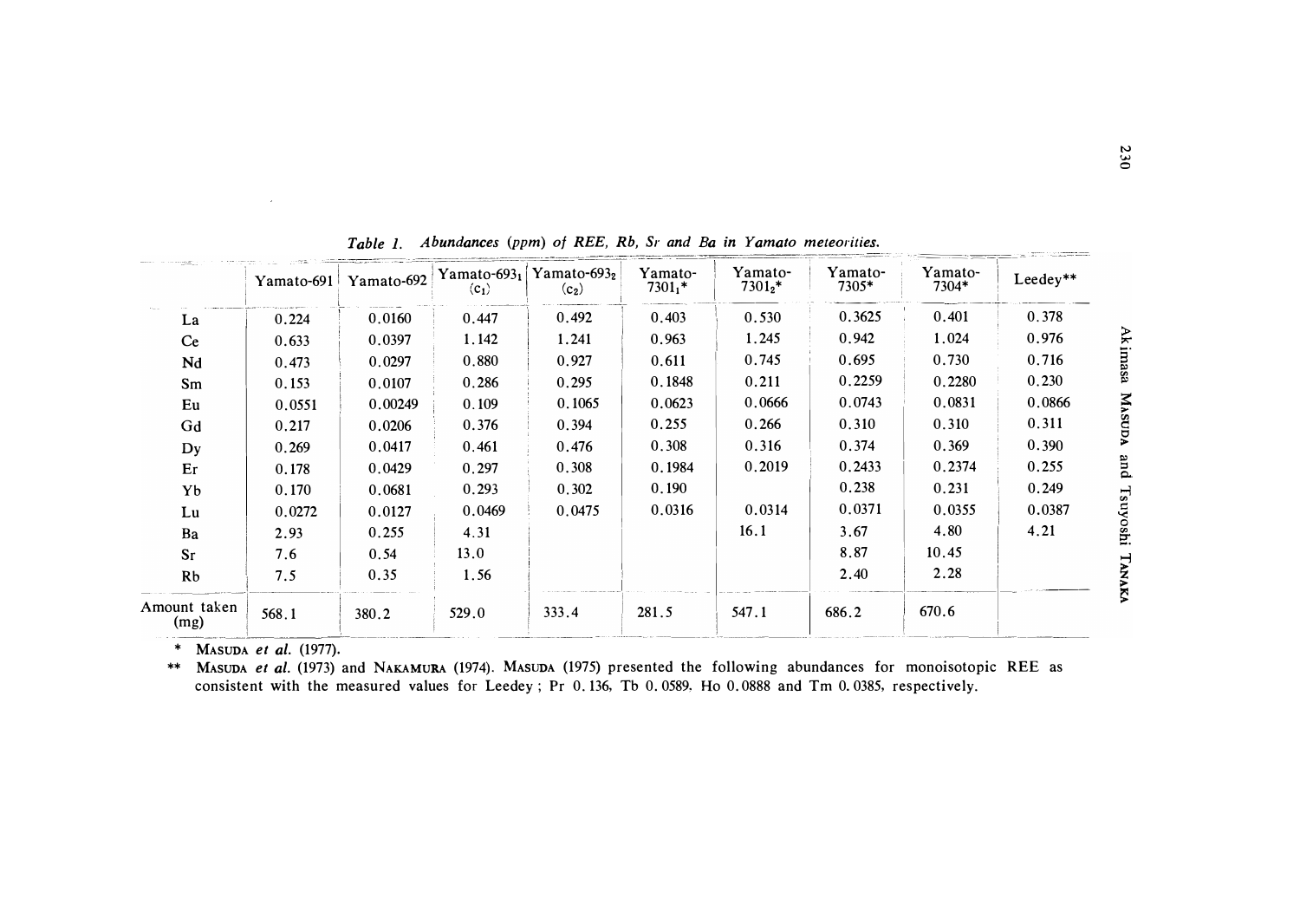|                      | Yamato-691 | Yamato-692 | Yamato-693 $_1$<br>$\langle c_1 \rangle$ | Yamato-693 $2$<br>$(c_2)$ | Yamato-<br>$7301_1*$ | Yamato-<br>$7301_2*$ | Yamato-<br>7305* | Yamato-<br>7304* | Leedey** |
|----------------------|------------|------------|------------------------------------------|---------------------------|----------------------|----------------------|------------------|------------------|----------|
| La                   | 0.224      | 0.0160     | 0.447                                    | 0.492                     | 0.403                | 0.530                | 0.3625           | 0.401            | 0.378    |
| <b>Ce</b>            | 0.633      | 0.0397     | 1.142                                    | 1.241                     | 0.963                | 1.245                | 0.942            | 1.024            | 0.976    |
| Nd                   | 0.473      | 0.0297     | 0.880                                    | 0.927                     | 0.611                | 0.745                | 0.695            | 0.730            | 0.716    |
| Sm                   | 0.153      | 0.0107     | 0.286                                    | 0.295                     | 0.1848               | 0.211                | 0.2259           | 0.2280           | 0.230    |
| Eu                   | 0.0551     | 0.00249    | 0.109                                    | 0.1065                    | 0.0623               | 0.0666               | 0.0743           | 0.0831           | 0.0866   |
| Gd                   | 0.217      | 0.0206     | 0.376                                    | 0.394                     | 0.255                | 0.266                | 0.310            | 0.310            | 0.311    |
| Dy                   | 0.269      | 0.0417     | 0.461                                    | 0.476                     | 0.308                | 0.316                | 0.374            | 0.369            | 0.390    |
| Er                   | 0.178      | 0.0429     | 0.297                                    | 0.308                     | 0.1984               | 0.2019               | 0.2433           | 0.2374           | 0.255    |
| Yb                   | 0.170      | 0.0681     | 0.293                                    | 0.302                     | 0.190                |                      | 0.238            | 0.231            | 0.249    |
| Lu                   | 0.0272     | 0.0127     | 0.0469                                   | 0.0475                    | 0.0316               | 0.0314               | 0.0371           | 0.0355           | 0.0387   |
| Ba                   | 2.93       | 0.255      | 4.31                                     |                           |                      | 16.1                 | 3.67             | 4.80             | 4.21     |
| $S_{r}$              | 7.6        | 0.54       | 13.0                                     |                           |                      |                      | 8.87             | 10.45            |          |
| Rb                   | 7.5        | 0.35       | 1.56                                     |                           |                      |                      | 2.40             | 2.28             |          |
| Amount taken<br>(mg) | 568.1      | 380.2      | 529.0                                    | 333.4                     | 281.5                | 547.1                | 686.2            | 670.6            |          |

*Table 1. Abundances (ppm) of REE, Rb, Sr and Ba in Yamato meteorities.* 

\* **MASUDA** *et al.* (1977).

à.

\*\* **MASUDA** *et al.* (1973) and **NAKAMURA** (1974). **MASUDA** (1975) presented the following abundances for monoisotopic REE as consistent with the measured values for Leedey; Pr 0. 136, Tb 0. 0589, Ho 0. 0888 and Tm 0. 0385, respectively.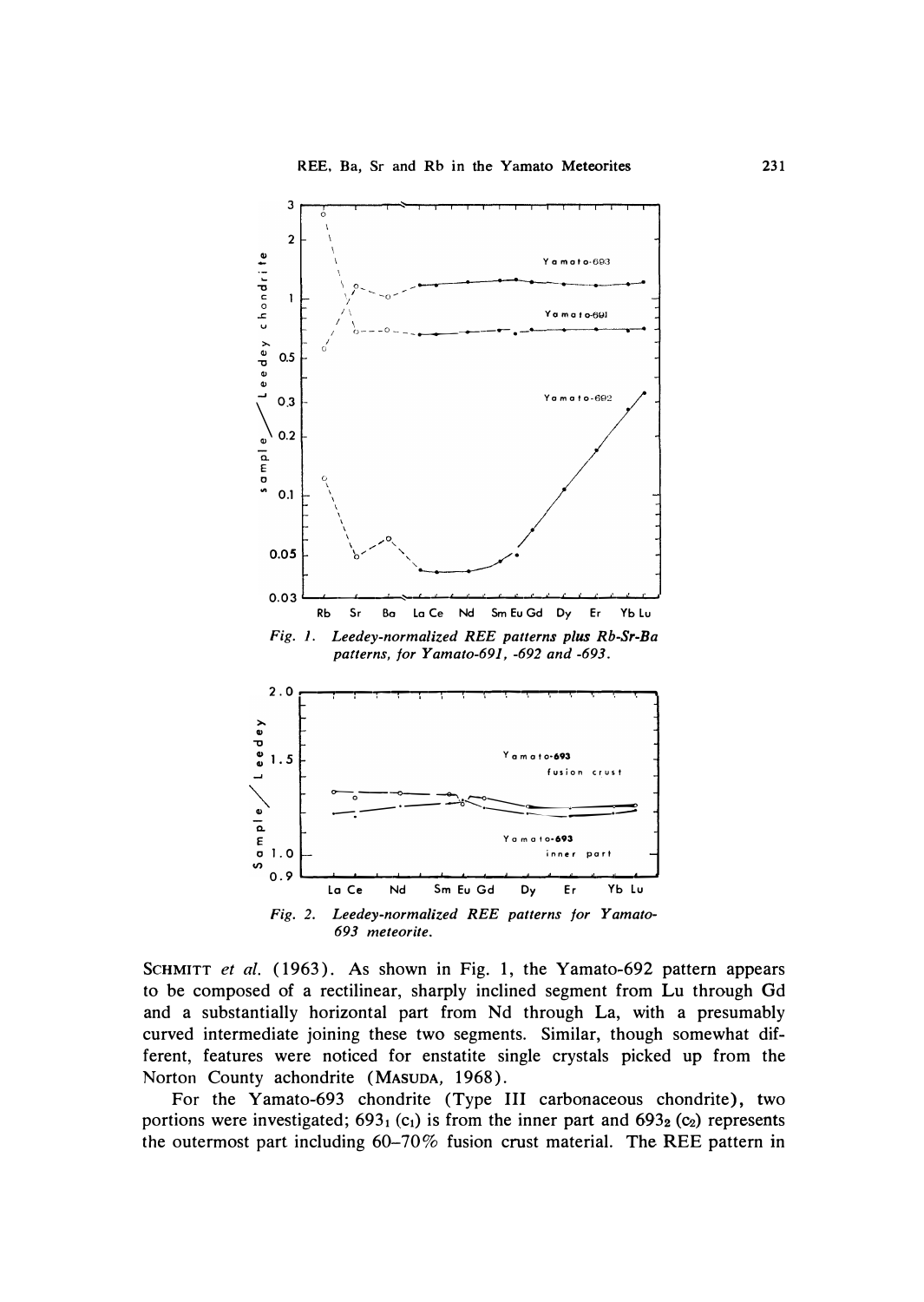

Fig. 2. Leedey-normalized REE patterns for Yamato-693 meteorite.

SCHMITT et al. (1963). As shown in Fig. 1, the Yamato-692 pattern appears to be composed of a rectilinear, sharply inclined segment from Lu through Gd and a substantially horizontal part from Nd through La, with a presumably curved intermediate joining these two segments. Similar, though somewhat different, features were noticed for enstatite single crystals picked up from the Norton County achondrite (MASUDA, 1968).

For the Yamato-693 chondrite (Type III carbonaceous chondrite), two portions were investigated;  $693_1$  (c<sub>1</sub>) is from the inner part and  $693_2$  (c<sub>2</sub>) represents the outermost part including  $60-70\%$  fusion crust material. The REE pattern in